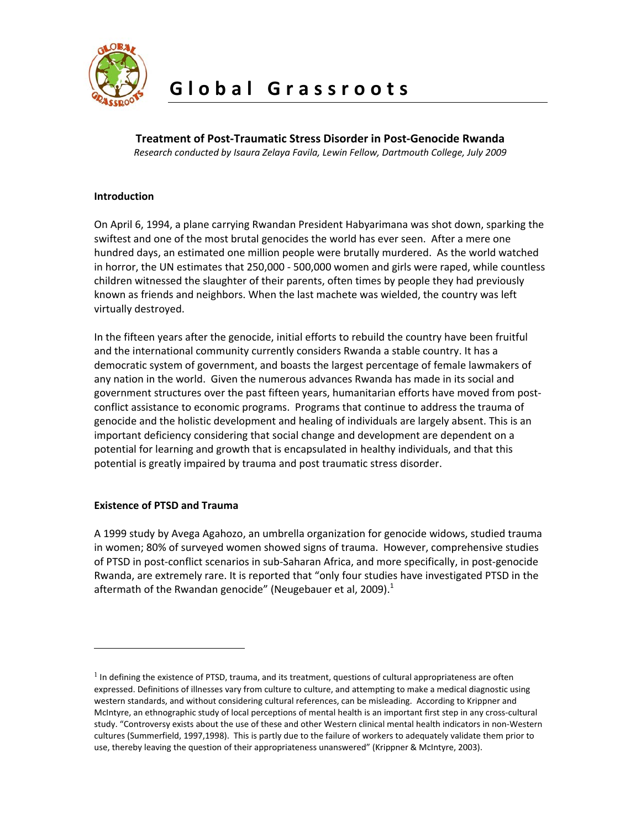

**Treatment of Post‐Traumatic Stress Disorder in Post‐Genocide Rwanda**

*Research conducted by Isaura Zelaya Favila, Lewin Fellow, Dartmouth College, July 2009*

# **Introduction**

On April 6, 1994, a plane carrying Rwandan President Habyarimana was shot down, sparking the swiftest and one of the most brutal genocides the world has ever seen. After a mere one hundred days, an estimated one million people were brutally murdered. As the world watched in horror, the UN estimates that 250,000 ‐ 500,000 women and girls were raped, while countless children witnessed the slaughter of their parents, often times by people they had previously known as friends and neighbors. When the last machete was wielded, the country was left virtually destroyed.

In the fifteen years after the genocide, initial efforts to rebuild the country have been fruitful and the international community currently considers Rwanda a stable country. It has a democratic system of government, and boasts the largest percentage of female lawmakers of any nation in the world. Given the numerous advances Rwanda has made in its social and government structures over the past fifteen years, humanitarian efforts have moved from post‐ conflict assistance to economic programs. Programs that continue to address the trauma of genocide and the holistic development and healing of individuals are largely absent. This is an important deficiency considering that social change and development are dependent on a potential for learning and growth that is encapsulated in healthy individuals, and that this potential is greatly impaired by trauma and post traumatic stress disorder.

# **Existence of PTSD and Trauma**

 $\overline{a}$ 

A 1999 study by Avega Agahozo, an umbrella organization for genocide widows, studied trauma in women; 80% of surveyed women showed signs of trauma. However, comprehensive studies of PTSD in post‐conflict scenarios in sub‐Saharan Africa, and more specifically, in post‐genocide Rwanda, are extremely rare. It is reported that "only four studies have investigated PTSD in the aftermath of the Rwandan genocide" (Neugebauer et al, 2009). $<sup>1</sup>$  $<sup>1</sup>$  $<sup>1</sup>$ </sup>

<span id="page-0-0"></span> $<sup>1</sup>$  In defining the existence of PTSD, trauma, and its treatment, questions of cultural appropriateness are often</sup> expressed. Definitions of illnesses vary from culture to culture, and attempting to make a medical diagnostic using western standards, and without considering cultural references, can be misleading. According to Krippner and McIntyre, an ethnographic study of local perceptions of mental health is an important first step in any cross‐cultural study. "Controversy exists about the use of these and other Western clinical mental health indicators in non‐Western cultures (Summerfield, 1997,1998). This is partly due to the failure of workers to adequately validate them prior to use, thereby leaving the question of their appropriateness unanswered" (Krippner & McIntyre, 2003).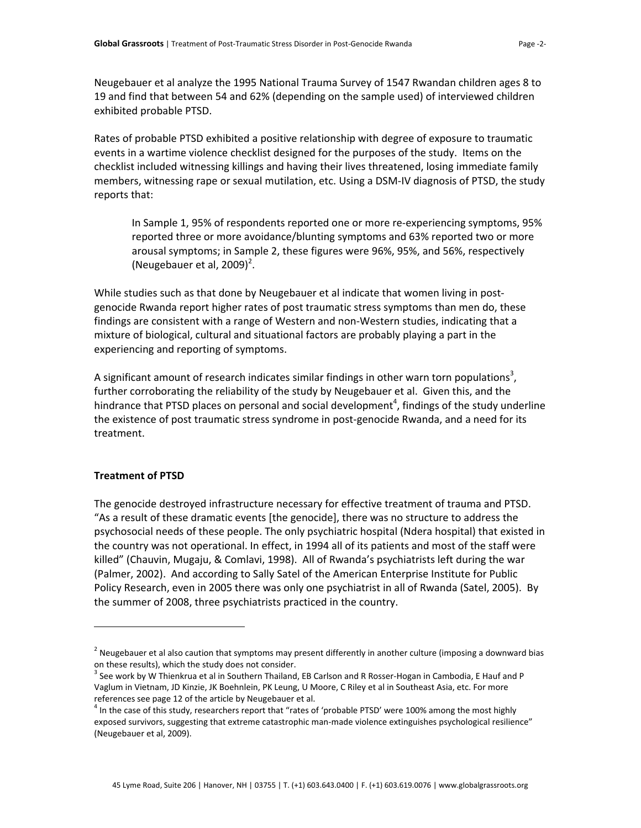Neugebauer et al analyze the 1995 National Trauma Survey of 1547 Rwandan children ages 8 to 19 and find that between 54 and 62% (depending on the sample used) of interviewed children exhibited probable PTSD.

Rates of probable PTSD exhibited a positive relationship with degree of exposure to traumatic events in a wartime violence checklist designed for the purposes of the study. Items on the checklist included witnessing killings and having their lives threatened, losing immediate family members, witnessing rape or sexual mutilation, etc. Using a DSM-IV diagnosis of PTSD, the study reports that:

In Sample 1, 95% of respondents reported one or more re‐experiencing symptoms, 95% reported three or more avoidance/blunting symptoms and 63% reported two or more arousal symptoms; in Sample 2, these figures were 96%, 95%, and 56%, respectively (Neugebauer et al, [2](#page-1-0)009) $^2$ .

While studies such as that done by Neugebauer et al indicate that women living in postgenocide Rwanda report higher rates of post traumatic stress symptoms than men do, these findings are consistent with a range of Western and non-Western studies, indicating that a mixture of biological, cultural and situational factors are probably playing a part in the experiencing and reporting of symptoms.

A significant amount of research indicates similar findings in other warn torn populations<sup>[3](#page-1-1)</sup>, further corroborating the reliability of the study by Neugebauer et al. Given this, and the hindrance that PTSD places on personal and social development<sup>[4](#page-1-2)</sup>, findings of the study underline the existence of post traumatic stress syndrome in post-genocide Rwanda, and a need for its treatment.

### **Treatment of PTSD**

 $\overline{a}$ 

The genocide destroyed infrastructure necessary for effective treatment of trauma and PTSD. "As a result of these dramatic events [the genocide], there was no structure to address the psychosocial needs of these people. The only psychiatric hospital (Ndera hospital) that existed in the country was not operational. In effect, in 1994 all of its patients and most of the staff were killed" (Chauvin, Mugaju, & Comlavi, 1998). All of Rwanda's psychiatrists left during the war (Palmer, 2002). And according to Sally Satel of the American Enterprise Institute for Public Policy Research, even in 2005 there was only one psychiatrist in all of Rwanda (Satel, 2005). By the summer of 2008, three psychiatrists practiced in the country.

<span id="page-1-0"></span> $2$  Neugebauer et al also caution that symptoms may present differently in another culture (imposing a downward bias on these results), which the study does not consider.<br><sup>3</sup> See work by W Thienkrua et al in Southern Thailand, EB Carlson and R Rosser‐Hogan in Cambodia, E Hauf and P

<span id="page-1-1"></span>Vaglum in Vietnam, JD Kinzie, JK Boehnlein, PK Leung, U Moore, C Riley et al in Southeast Asia, etc. For more

<span id="page-1-2"></span>references see page 12 of the article by Neugebauer et al.<br><sup>4</sup> In the case of this study, researchers report that "rates of 'probable PTSD' were 100% among the most highly exposed survivors, suggesting that extreme catastrophic man‐made violence extinguishes psychological resilience" (Neugebauer et al, 2009).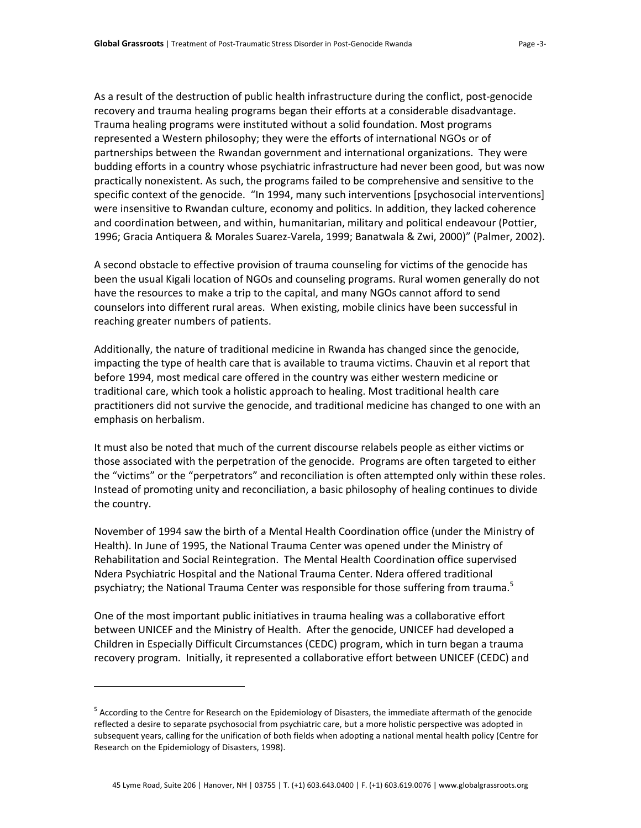As a result of the destruction of public health infrastructure during the conflict, post‐genocide recovery and trauma healing programs began their efforts at a considerable disadvantage. Trauma healing programs were instituted without a solid foundation. Most programs represented a Western philosophy; they were the efforts of international NGOs or of partnerships between the Rwandan government and international organizations. They were budding efforts in a country whose psychiatric infrastructure had never been good, but was now practically nonexistent. As such, the programs failed to be comprehensive and sensitive to the specific context of the genocide. "In 1994, many such interventions [psychosocial interventions] were insensitive to Rwandan culture, economy and politics. In addition, they lacked coherence and coordination between, and within, humanitarian, military and political endeavour (Pottier, 1996; Gracia Antiquera & Morales Suarez‐Varela, 1999; Banatwala & Zwi, 2000)" (Palmer, 2002).

A second obstacle to effective provision of trauma counseling for victims of the genocide has been the usual Kigali location of NGOs and counseling programs. Rural women generally do not have the resources to make a trip to the capital, and many NGOs cannot afford to send counselors into different rural areas. When existing, mobile clinics have been successful in reaching greater numbers of patients.

Additionally, the nature of traditional medicine in Rwanda has changed since the genocide, impacting the type of health care that is available to trauma victims. Chauvin et al report that before 1994, most medical care offered in the country was either western medicine or traditional care, which took a holistic approach to healing. Most traditional health care practitioners did not survive the genocide, and traditional medicine has changed to one with an emphasis on herbalism.

It must also be noted that much of the current discourse relabels people as either victims or those associated with the perpetration of the genocide. Programs are often targeted to either the "victims" or the "perpetrators" and reconciliation is often attempted only within these roles. Instead of promoting unity and reconciliation, a basic philosophy of healing continues to divide the country.

November of 1994 saw the birth of a Mental Health Coordination office (under the Ministry of Health). In June of 1995, the National Trauma Center was opened under the Ministry of Rehabilitation and Social Reintegration. The Mental Health Coordination office supervised Ndera Psychiatric Hospital and the National Trauma Center. Ndera offered traditional psychiatry; the National Trauma Center was responsible for those suffering from trauma.<sup>[5](#page-2-0)</sup>

One of the most important public initiatives in trauma healing was a collaborative effort between UNICEF and the Ministry of Health. After the genocide, UNICEF had developed a Children in Especially Difficult Circumstances (CEDC) program, which in turn began a trauma recovery program. Initially, it represented a collaborative effort between UNICEF (CEDC) and

 $\overline{a}$ 

<span id="page-2-0"></span><sup>&</sup>lt;sup>5</sup> According to the Centre for Research on the Epidemiology of Disasters, the immediate aftermath of the genocide reflected a desire to separate psychosocial from psychiatric care, but a more holistic perspective was adopted in subsequent years, calling for the unification of both fields when adopting a national mental health policy (Centre for Research on the Epidemiology of Disasters, 1998).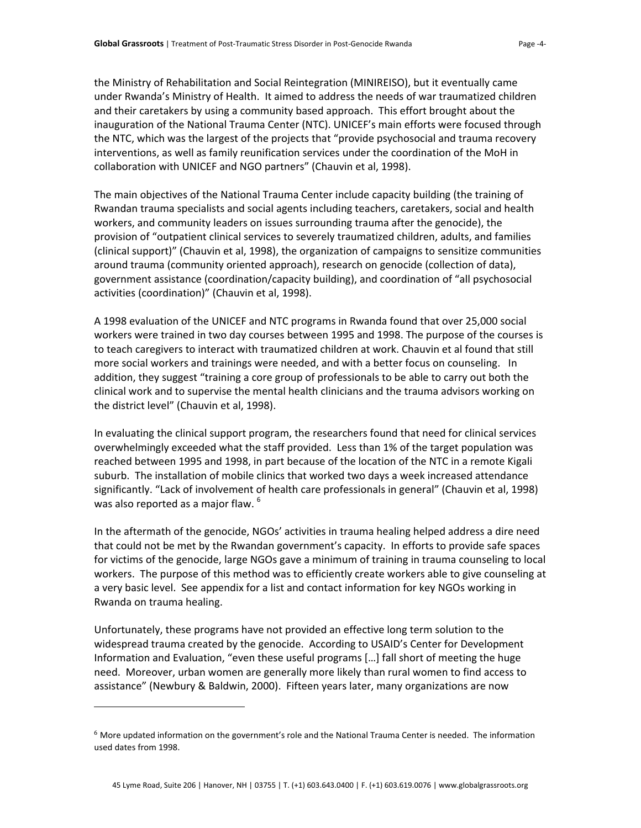the Ministry of Rehabilitation and Social Reintegration (MINIREISO), but it eventually came under Rwanda's Ministry of Health. It aimed to address the needs of war traumatized children and their caretakers by using a community based approach. This effort brought about the inauguration of the National Trauma Center (NTC). UNICEF's main efforts were focused through the NTC, which was the largest of the projects that "provide psychosocial and trauma recovery interventions, as well as family reunification services under the coordination of the MoH in collaboration with UNICEF and NGO partners" (Chauvin et al, 1998).

The main objectives of the National Trauma Center include capacity building (the training of Rwandan trauma specialists and social agents including teachers, caretakers, social and health workers, and community leaders on issues surrounding trauma after the genocide), the provision of "outpatient clinical services to severely traumatized children, adults, and families (clinical support)" (Chauvin et al, 1998), the organization of campaigns to sensitize communities around trauma (community oriented approach), research on genocide (collection of data), government assistance (coordination/capacity building), and coordination of "all psychosocial activities (coordination)" (Chauvin et al, 1998).

A 1998 evaluation of the UNICEF and NTC programs in Rwanda found that over 25,000 social workers were trained in two day courses between 1995 and 1998. The purpose of the courses is to teach caregivers to interact with traumatized children at work. Chauvin et al found that still more social workers and trainings were needed, and with a better focus on counseling. In addition, they suggest "training a core group of professionals to be able to carry out both the clinical work and to supervise the mental health clinicians and the trauma advisors working on the district level" (Chauvin et al, 1998).

In evaluating the clinical support program, the researchers found that need for clinical services overwhelmingly exceeded what the staff provided. Less than 1% of the target population was reached between 1995 and 1998, in part because of the location of the NTC in a remote Kigali suburb. The installation of mobile clinics that worked two days a week increased attendance significantly. "Lack of involvement of health care professionals in general" (Chauvin et al, 1998) was also reported as a major flaw. <sup>[6](#page-3-0)</sup>

In the aftermath of the genocide, NGOs' activities in trauma healing helped address a dire need that could not be met by the Rwandan government's capacity. In efforts to provide safe spaces for victims of the genocide, large NGOs gave a minimum of training in trauma counseling to local workers. The purpose of this method was to efficiently create workers able to give counseling at a very basic level. See appendix for a list and contact information for key NGOs working in Rwanda on trauma healing.

Unfortunately, these programs have not provided an effective long term solution to the widespread trauma created by the genocide. According to USAID's Center for Development Information and Evaluation, "even these useful programs […] fall short of meeting the huge need. Moreover, urban women are generally more likely than rural women to find access to assistance" (Newbury & Baldwin, 2000). Fifteen years later, many organizations are now

 $\overline{a}$ 

<span id="page-3-0"></span> $6$  More updated information on the government's role and the National Trauma Center is needed. The information used dates from 1998.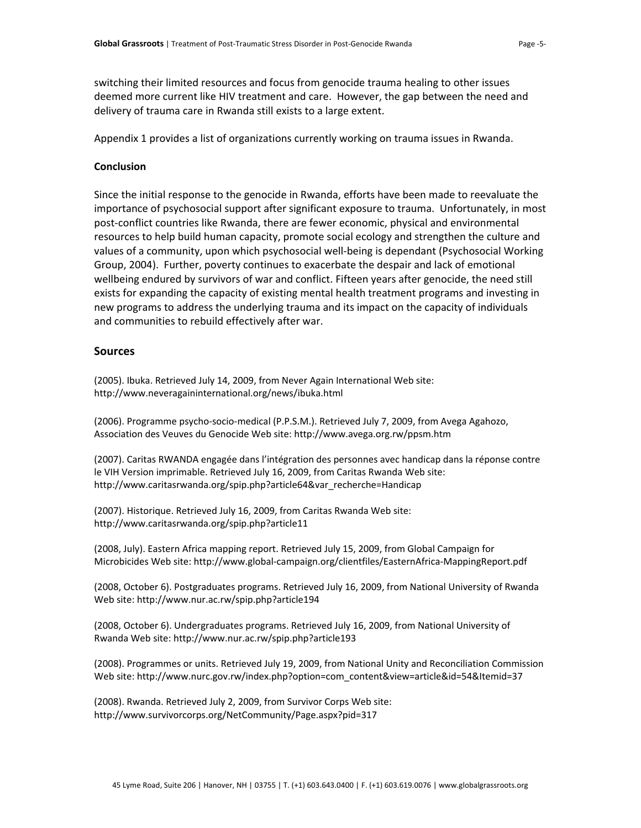switching their limited resources and focus from genocide trauma healing to other issues deemed more current like HIV treatment and care. However, the gap between the need and delivery of trauma care in Rwanda still exists to a large extent.

Appendix 1 provides a list of organizations currently working on trauma issues in Rwanda.

### **Conclusion**

Since the initial response to the genocide in Rwanda, efforts have been made to reevaluate the importance of psychosocial support after significant exposure to trauma. Unfortunately, in most post-conflict countries like Rwanda, there are fewer economic, physical and environmental resources to help build human capacity, promote social ecology and strengthen the culture and values of a community, upon which psychosocial well‐being is dependant (Psychosocial Working Group, 2004). Further, poverty continues to exacerbate the despair and lack of emotional wellbeing endured by survivors of war and conflict. Fifteen years after genocide, the need still exists for expanding the capacity of existing mental health treatment programs and investing in new programs to address the underlying trauma and its impact on the capacity of individuals and communities to rebuild effectively after war.

## **Sources**

(2005). Ibuka. Retrieved July 14, 2009, from Never Again International Web site: http://www.neveragaininternational.org/news/ibuka.html

(2006). Programme psycho‐socio‐medical (P.P.S.M.). Retrieved July 7, 2009, from Avega Agahozo, Association des Veuves du Genocide Web site: http://www.avega.org.rw/ppsm.htm

(2007). Caritas RWANDA engagée dans l'intégration des personnes avec handicap dans la réponse contre le VIH Version imprimable. Retrieved July 16, 2009, from Caritas Rwanda Web site: http://www.caritasrwanda.org/spip.php?article64&var\_recherche=Handicap

(2007). Historique. Retrieved July 16, 2009, from Caritas Rwanda Web site: http://www.caritasrwanda.org/spip.php?article11

(2008, July). Eastern Africa mapping report. Retrieved July 15, 2009, from Global Campaign for Microbicides Web site: http://www.global‐campaign.org/clientfiles/EasternAfrica‐MappingReport.pdf

(2008, October 6). Postgraduates programs. Retrieved July 16, 2009, from National University of Rwanda Web site: http://www.nur.ac.rw/spip.php?article194

(2008, October 6). Undergraduates programs. Retrieved July 16, 2009, from National University of Rwanda Web site: http://www.nur.ac.rw/spip.php?article193

(2008). Programmes or units. Retrieved July 19, 2009, from National Unity and Reconciliation Commission Web site: http://www.nurc.gov.rw/index.php?option=com\_content&view=article&id=54&Itemid=37

(2008). Rwanda. Retrieved July 2, 2009, from Survivor Corps Web site: http://www.survivorcorps.org/NetCommunity/Page.aspx?pid=317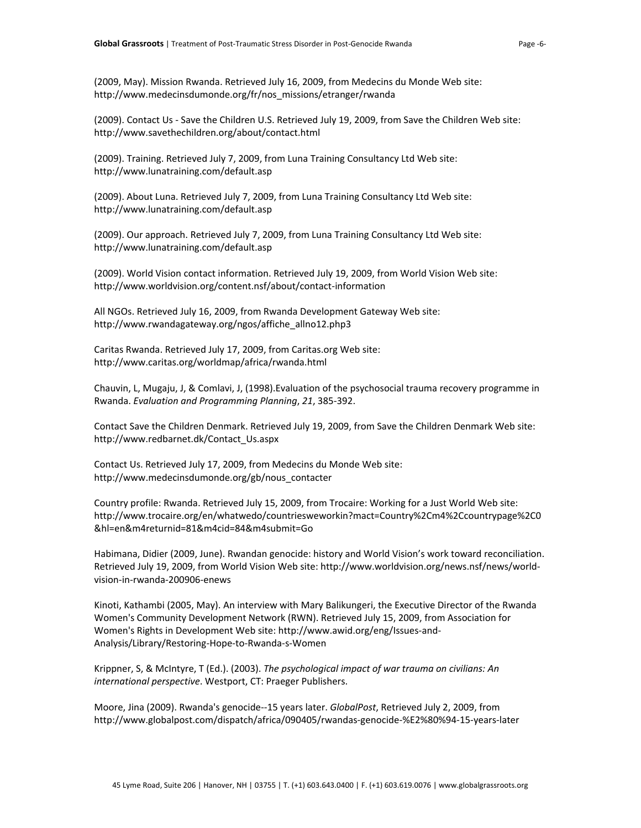(2009, May). Mission Rwanda. Retrieved July 16, 2009, from Medecins du Monde Web site: http://www.medecinsdumonde.org/fr/nos\_missions/etranger/rwanda

(2009). Contact Us ‐ Save the Children U.S. Retrieved July 19, 2009, from Save the Children Web site: http://www.savethechildren.org/about/contact.html

(2009). Training. Retrieved July 7, 2009, from Luna Training Consultancy Ltd Web site: http://www.lunatraining.com/default.asp

(2009). About Luna. Retrieved July 7, 2009, from Luna Training Consultancy Ltd Web site: http://www.lunatraining.com/default.asp

(2009). Our approach. Retrieved July 7, 2009, from Luna Training Consultancy Ltd Web site: <http://www.lunatraining.com/default.asp>

(2009). World Vision contact information. Retrieved July 19, 2009, from World Vision Web site: http://www.worldvision.org/content.nsf/about/contact‐information

All NGOs. Retrieved July 16, 2009, from Rwanda Development Gateway Web site: http://www.rwandagateway.org/ngos/affiche\_allno12.php3

Caritas Rwanda. Retrieved July 17, 2009, from Caritas.org Web site: http://www.caritas.org/worldmap/africa/rwanda.html

Chauvin, L, Mugaju, J, & Comlavi, J, (1998).Evaluation of the psychosocial trauma recovery programme in Rwanda. *Evaluation and Programming Planning*, *21*, 385‐392.

Contact Save the Children Denmark. Retrieved July 19, 2009, from Save the Children Denmark Web site: http://www.redbarnet.dk/Contact\_Us.aspx

Contact Us. Retrieved July 17, 2009, from Medecins du Monde Web site: http://www.medecinsdumonde.org/gb/nous\_contacter

Country profile: Rwanda. Retrieved July 15, 2009, from Trocaire: Working for a Just World Web site: http://www.trocaire.org/en/whatwedo/countriesweworkin?mact=Country%2Cm4%2Ccountrypage%2C0 &hl=en&m4returnid=81&m4cid=84&m4submit=Go

Habimana, Didier (2009, June). Rwandan genocide: history and World Vision's work toward reconciliation. Retrieved July 19, 2009, from World Vision Web site: http://www.worldvision.org/news.nsf/news/world‐ vision‐in‐rwanda‐200906‐enews

Kinoti, Kathambi (2005, May). An interview with Mary Balikungeri, the Executive Director of the Rwanda Women's Community Development Network (RWN). Retrieved July 15, 2009, from Association for Women's Rights in Development Web site: http://www.awid.org/eng/Issues‐and‐ Analysis/Library/Restoring‐Hope‐to‐Rwanda‐s‐Women

Krippner, S, & McIntyre, T (Ed.). (2003). *The psychological impact of war trauma on civilians: An international perspective*. Westport, CT: Praeger Publishers.

Moore, Jina (2009). Rwanda's genocide‐‐15 years later. *GlobalPost*, Retrieved July 2, 2009, from http://www.globalpost.com/dispatch/africa/090405/rwandas‐genocide‐%E2%80%94‐15‐years‐later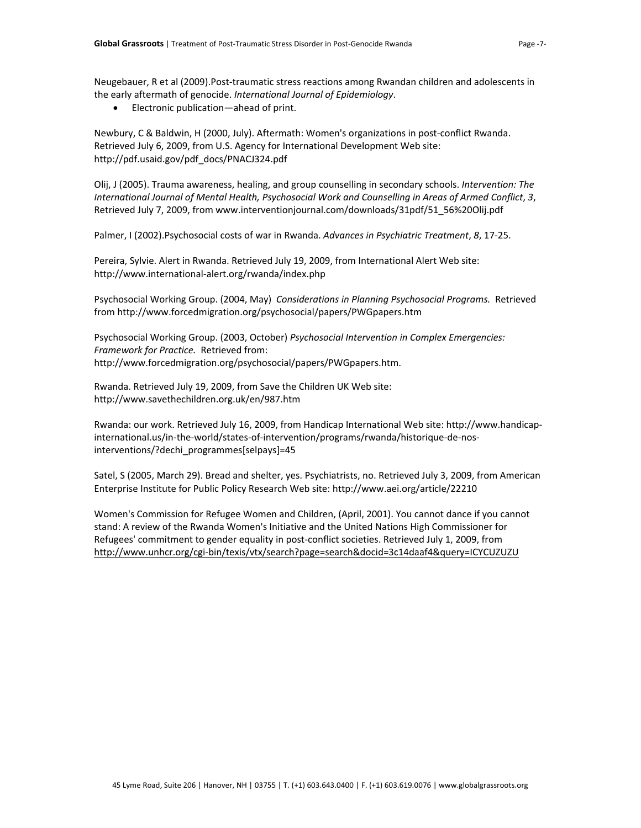Neugebauer, R et al (2009).Post‐traumatic stress reactions among Rwandan children and adolescents in the early aftermath of genocide. *International Journal of Epidemiology*.

• Electronic publication—ahead of print.

Newbury, C & Baldwin, H (2000, July). Aftermath: Women's organizations in post‐conflict Rwanda. Retrieved July 6, 2009, from U.S. Agency for International Development Web site: http://pdf.usaid.gov/pdf\_docs/PNACJ324.pdf

Olij, J (2005). Trauma awareness, healing, and group counselling in secondary schools. *Intervention: The International Journal of Mental Health, Psychosocial Work and Counselling in Areas of Armed Conflict*, *3*, Retrieved July 7, 2009, from www.interventionjournal.com/downloads/31pdf/51\_56%20Olij.pdf

Palmer, I (2002).Psychosocial costs of war in Rwanda. *Advances in Psychiatric Treatment*, *8*, 17‐25.

Pereira, Sylvie. Alert in Rwanda. Retrieved July 19, 2009, from International Alert Web site: http://www.international‐alert.org/rwanda/index.php

Psychosocial Working Group. (2004, May) *Considerations in Planning Psychosocial Programs.* Retrieved from http://www.forcedmigration.org/psychosocial/papers/PWGpapers.htm

Psychosocial Working Group. (2003, October) *Psychosocial Intervention in Complex Emergencies: Framework for Practice.* Retrieved from: http://www.forcedmigration.org/psychosocial/papers/PWGpapers.htm.

Rwanda. Retrieved July 19, 2009, from Save the Children UK Web site: http://www.savethechildren.org.uk/en/987.htm

Rwanda: our work. Retrieved July 16, 2009, from Handicap International Web site: http://www.handicap‐ international.us/in‐the‐world/states‐of‐intervention/programs/rwanda/historique‐de‐nos‐ interventions/?dechi\_programmes[selpays]=45

Satel, S (2005, March 29). Bread and shelter, yes. Psychiatrists, no. Retrieved July 3, 2009, from American Enterprise Institute for Public Policy Research Web site: http://www.aei.org/article/22210

Women's Commission for Refugee Women and Children, (April, 2001). You cannot dance if you cannot stand: A review of the Rwanda Women's Initiative and the United Nations High Commissioner for Refugees' commitment to gender equality in post-conflict societies. Retrieved July 1, 2009, from http://www.unhcr.org/cgi‐[bin/texis/vtx/search?page=search&docid=3c14daaf4&query=ICYCUZUZU](http://www.unhcr.org/cgi-bin/texis/vtx/search?page=search&docid=3c14daaf4&query=ICYCUZUZU)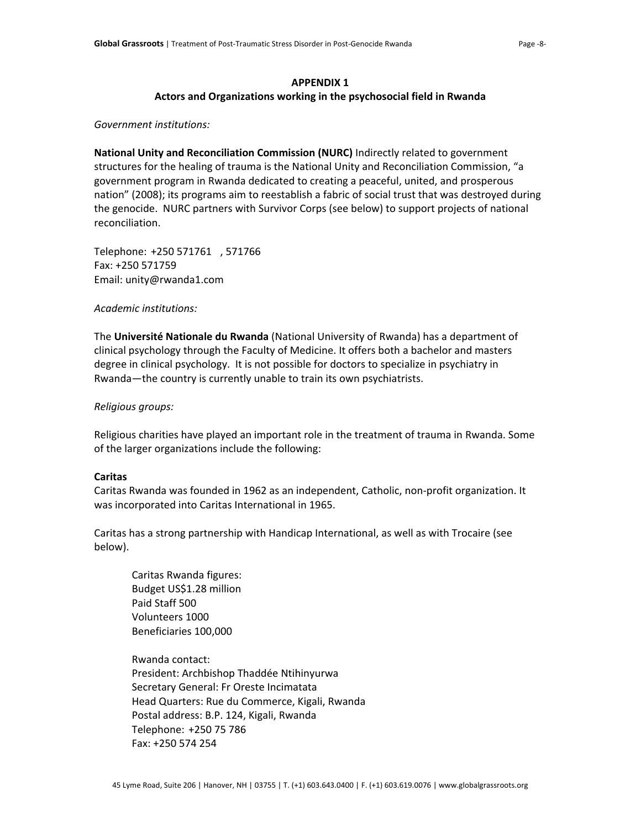# **APPENDIX 1 Actors and Organizations working in the psychosocial field in Rwanda**

#### *Government institutions:*

**National Unity and Reconciliation Commission (NURC)** Indirectly related to government structures for the healing of trauma is the National Unity and Reconciliation Commission, "a government program in Rwanda dedicated to creating a peaceful, united, and prosperous nation" (2008); its programs aim to reestablish a fabric of social trust that was destroyed during the genocide. NURC partners with Survivor Corps (see below) to support projects of national reconciliation.

Telephone: +250 571761 , 571766 Fax: +250 571759 Email: unity@rwanda1.com

*Academic institutions:*

The **Université Nationale du Rwanda** (National University of Rwanda) has a department of clinical psychology through the Faculty of Medicine. It offers both a bachelor and masters degree in clinical psychology. It is not possible for doctors to specialize in psychiatry in Rwanda—the country is currently unable to train its own psychiatrists.

### *Religious groups:*

Religious charities have played an important role in the treatment of trauma in Rwanda. Some of the larger organizations include the following:

### **Caritas**

Caritas Rwanda was founded in 1962 as an independent, Catholic, non‐profit organization. It was incorporated into Caritas International in 1965.

Caritas has a strong partnership with Handicap International, as well as with Trocaire (see below).

Caritas Rwanda figures: Budget US\$1.28 million Paid Staff 500 Volunteers 1000 Beneficiaries 100,000

Rwanda contact: President: Archbishop Thaddée Ntihinyurwa Secretary General: Fr Oreste Incimatata Head Quarters: Rue du Commerce, Kigali, Rwanda Postal address: B.P. 124, Kigali, Rwanda Telephone: +250 75 786 Fax: +250 574 254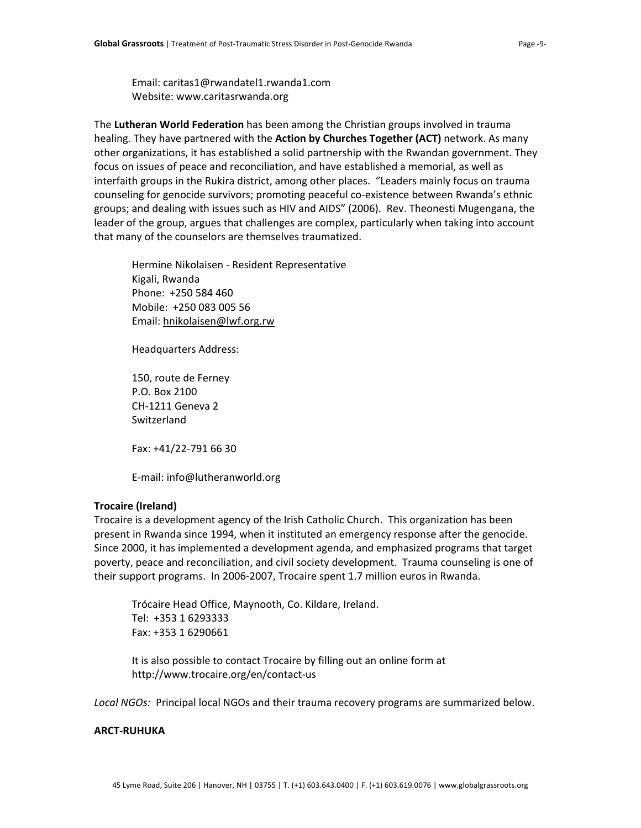Email: caritas1@rwandatel1.rwanda1.com Website: www.caritasrwanda.org

The **Lutheran World Federation** has been among the Christian groups involved in trauma healing. They have partnered with the **Action by Churches Together (ACT)** network. As many other organizations, it has established a solid partnership with the Rwandan government. They focus on issues of peace and reconciliation, and have established a memorial, as well as interfaith groups in the Rukira district, among other places. "Leaders mainly focus on trauma counseling for genocide survivors; promoting peaceful co-existence between Rwanda's ethnic groups; and dealing with issues such as HIV and AIDS" (2006). Rev. Theonesti Mugengana, the leader of the group, argues that challenges are complex, particularly when taking into account that many of the counselors are themselves traumatized.

Hermine Nikolaisen ‐ Resident Representative Kigali, Rwanda Phone: +250 584 460 Mobile: +250 083 005 56 Email: [hnikolaisen@lwf.org.rw](mailto:hnikolaisen@lwf.org.rw)

Headquarters Address:

150, route de Ferney P.O. Box 2100 CH‐1211 Geneva 2 Switzerland

Fax: +41/22‐791 66 30

E‐mail: info@lutheranworld.org

### **Trocaire (Ireland)**

Trocaire is a development agency of the Irish Catholic Church. This organization has been present in Rwanda since 1994, when it instituted an emergency response after the genocide. Since 2000, it has implemented a development agenda, and emphasized programs that target poverty, peace and reconciliation, and civil society development. Trauma counseling is one of their support programs. In 2006‐2007, Trocaire spent 1.7 million euros in Rwanda.

Trócaire Head Office, Maynooth, Co. Kildare, Ireland. Tel: +353 1 6293333 Fax: +353 1 6290661

It is also possible to contact Trocaire by filling out an online form at http://www.trocaire.org/en/contact‐us

Local NGOs: Principal local NGOs and their trauma recovery programs are summarized below.

#### **ARCT‐RUHUKA**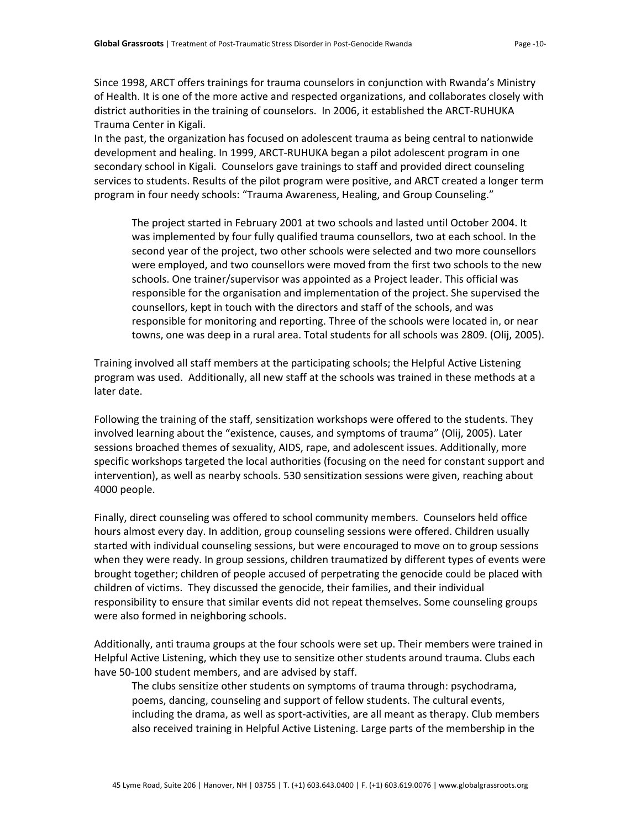Since 1998, ARCT offers trainings for trauma counselors in conjunction with Rwanda's Ministry of Health. It is one of the more active and respected organizations, and collaborates closely with district authorities in the training of counselors. In 2006, it established the ARCT‐RUHUKA Trauma Center in Kigali.

In the past, the organization has focused on adolescent trauma as being central to nationwide development and healing. In 1999, ARCT‐RUHUKA began a pilot adolescent program in one secondary school in Kigali. Counselors gave trainings to staff and provided direct counseling services to students. Results of the pilot program were positive, and ARCT created a longer term program in four needy schools: "Trauma Awareness, Healing, and Group Counseling."

The project started in February 2001 at two schools and lasted until October 2004. It was implemented by four fully qualified trauma counsellors, two at each school. In the second year of the project, two other schools were selected and two more counsellors were employed, and two counsellors were moved from the first two schools to the new schools. One trainer/supervisor was appointed as a Project leader. This official was responsible for the organisation and implementation of the project. She supervised the counsellors, kept in touch with the directors and staff of the schools, and was responsible for monitoring and reporting. Three of the schools were located in, or near towns, one was deep in a rural area. Total students for all schools was 2809. (Olij, 2005).

Training involved all staff members at the participating schools; the Helpful Active Listening program was used. Additionally, all new staff at the schools was trained in these methods at a later date.

Following the training of the staff, sensitization workshops were offered to the students. They involved learning about the "existence, causes, and symptoms of trauma" (Olij, 2005). Later sessions broached themes of sexuality, AIDS, rape, and adolescent issues. Additionally, more specific workshops targeted the local authorities (focusing on the need for constant support and intervention), as well as nearby schools. 530 sensitization sessions were given, reaching about 4000 people.

Finally, direct counseling was offered to school community members. Counselors held office hours almost every day. In addition, group counseling sessions were offered. Children usually started with individual counseling sessions, but were encouraged to move on to group sessions when they were ready. In group sessions, children traumatized by different types of events were brought together; children of people accused of perpetrating the genocide could be placed with children of victims. They discussed the genocide, their families, and their individual responsibility to ensure that similar events did not repeat themselves. Some counseling groups were also formed in neighboring schools.

Additionally, anti trauma groups at the four schools were set up. Their members were trained in Helpful Active Listening, which they use to sensitize other students around trauma. Clubs each have 50-100 student members, and are advised by staff.

The clubs sensitize other students on symptoms of trauma through: psychodrama, poems, dancing, counseling and support of fellow students. The cultural events, including the drama, as well as sport‐activities, are all meant as therapy. Club members also received training in Helpful Active Listening. Large parts of the membership in the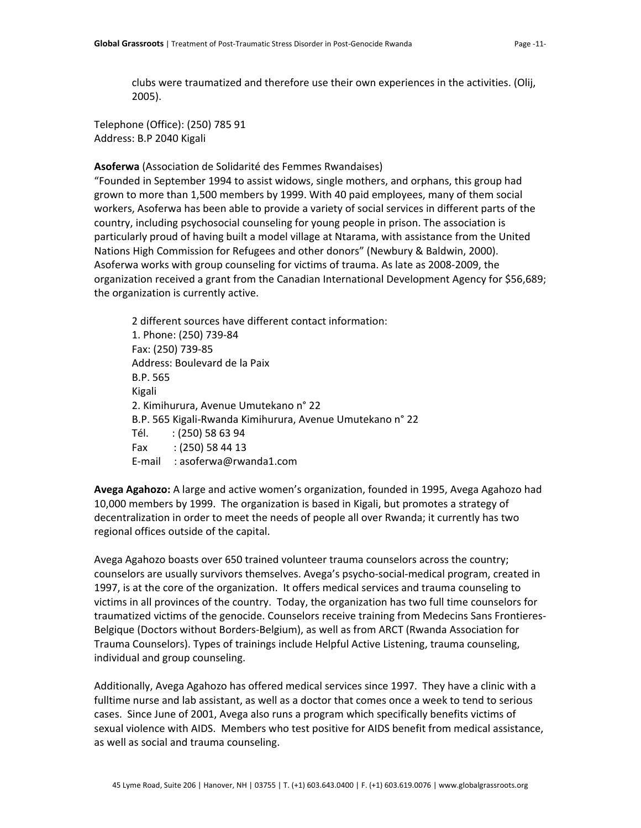clubs were traumatized and therefore use their own experiences in the activities. (Olij, 2005).

Telephone (Office): (250) 785 91 Address: B.P 2040 Kigali

**Asoferwa** (Association de Solidarité des Femmes Rwandaises)

"Founded in September 1994 to assist widows, single mothers, and orphans, this group had grown to more than 1,500 members by 1999. With 40 paid employees, many of them social workers, Asoferwa has been able to provide a variety of social services in different parts of the country, including psychosocial counseling for young people in prison. The association is particularly proud of having built a model village at Ntarama, with assistance from the United Nations High Commission for Refugees and other donors" (Newbury & Baldwin, 2000). Asoferwa works with group counseling for victims of trauma. As late as 2008‐2009, the organization received a grant from the Canadian International Development Agency for \$56,689; the organization is currently active.

2 different sources have different contact information: 1. Phone: (250) 739‐84 Fax: (250) 739‐85 Address: Boulevard de la Paix B.P. 565 Kigali 2. Kimihurura, Avenue Umutekano n° 22 B.P. 565 Kigali‐Rwanda Kimihurura, Avenue Umutekano n° 22 Tél. : (250) 58 63 94 Fax : (250) 58 44 13 E‐mail : asoferwa@rwanda1.com

**Avega Agahozo:** A large and active women's organization, founded in 1995, Avega Agahozo had 10,000 members by 1999. The organization is based in Kigali, but promotes a strategy of decentralization in order to meet the needs of people all over Rwanda; it currently has two regional offices outside of the capital.

Avega Agahozo boasts over 650 trained volunteer trauma counselors across the country; counselors are usually survivors themselves. Avega's psycho‐social‐medical program, created in 1997, is at the core of the organization. It offers medical services and trauma counseling to victims in all provinces of the country. Today, the organization has two full time counselors for traumatized victims of the genocide. Counselors receive training from Medecins Sans Frontieres‐ Belgique (Doctors without Borders‐Belgium), as well as from ARCT (Rwanda Association for Trauma Counselors). Types of trainings include Helpful Active Listening, trauma counseling, individual and group counseling.

Additionally, Avega Agahozo has offered medical services since 1997. They have a clinic with a fulltime nurse and lab assistant, as well as a doctor that comes once a week to tend to serious cases. Since June of 2001, Avega also runs a program which specifically benefits victims of sexual violence with AIDS. Members who test positive for AIDS benefit from medical assistance, as well as social and trauma counseling.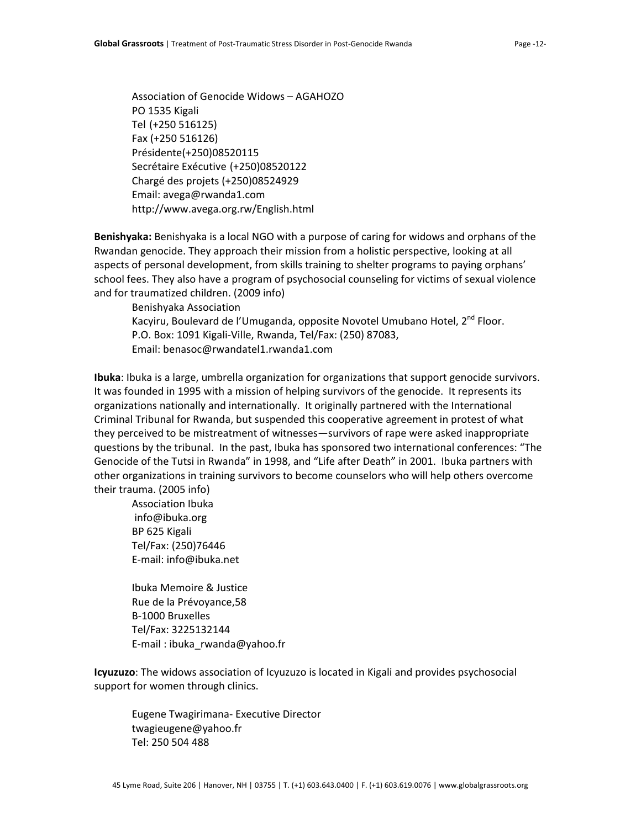Association of Genocide Widows – AGAHOZO PO 1535 Kigali Tel (+250 516125) Fax (+250 516126) Présidente(+250)08520115 Secrétaire Exécutive (+250)08520122 Chargé des projets (+250)08524929 Email: avega@rwanda1.com http://www.avega.org.rw/English.html

**Benishyaka:** Benishyaka is a local NGO with a purpose of caring for widows and orphans of the Rwandan genocide. They approach their mission from a holistic perspective, looking at all aspects of personal development, from skills training to shelter programs to paying orphans' school fees. They also have a program of psychosocial counseling for victims of sexual violence and for traumatized children. (2009 info)

Benishyaka Association Kacyiru, Boulevard de l'Umuganda, opposite Novotel Umubano Hotel, 2<sup>nd</sup> Floor. P.O. Box: 1091 Kigali‐Ville, Rwanda, Tel/Fax: (250) 87083, Email: benasoc@rwandatel1.rwanda1.com

**Ibuka**: Ibuka is a large, umbrella organization for organizations that support genocide survivors. It was founded in 1995 with a mission of helping survivors of the genocide. It represents its organizations nationally and internationally. It originally partnered with the International Criminal Tribunal for Rwanda, but suspended this cooperative agreement in protest of what they perceived to be mistreatment of witnesses—survivors of rape were asked inappropriate questions by the tribunal. In the past, Ibuka has sponsored two international conferences: "The Genocide of the Tutsi in Rwanda" in 1998, and "Life after Death" in 2001. Ibuka partners with other organizations in training survivors to become counselors who will help others overcome their trauma. (2005 info)

Association Ibuka [info@ibuka.org](mailto:info@ibuka.org) BP 625 Kigali Tel/Fax: (250)76446 E‐mail: [info@ibuka.net](mailto:info@ibuka.net)

Ibuka Memoire & Justice Rue de la Prévoyance,58 B‐1000 Bruxelles Tel/Fax: 3225132144 E‐mail : [ibuka\\_rwanda@yahoo.fr](mailto:ibuka_rwanda@yahoo.fr)

**Icyuzuzo**: The widows association of Icyuzuzo is located in Kigali and provides psychosocial support for women through clinics.

Eugene Twagirimana‐ Executive Director twagieugene@yahoo.fr Tel: 250 504 488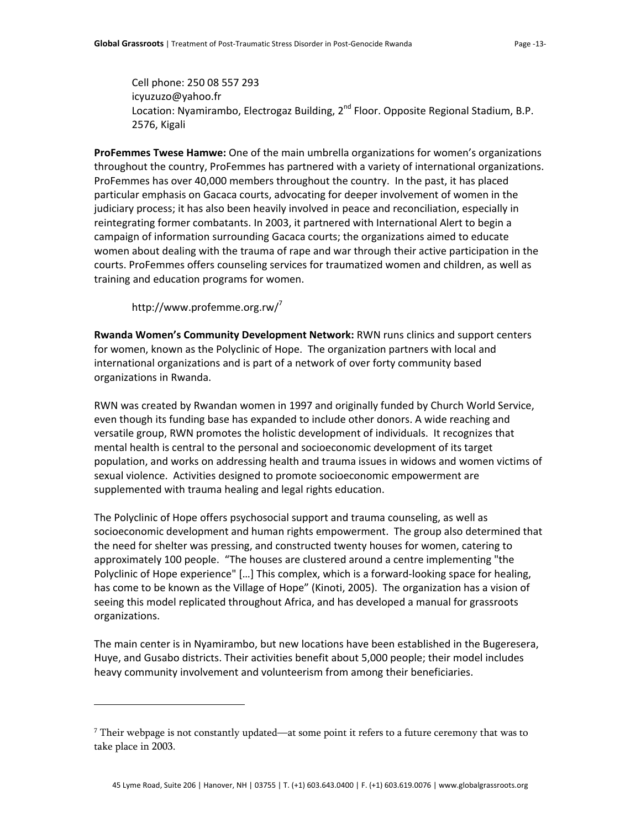Cell phone: 250 08 557 293 [icyuzuzo@yahoo.fr](mailto:icyuzuzo@yahoo.fr) Location: Nyamirambo, Electrogaz Building, 2<sup>nd</sup> Floor. Opposite Regional Stadium, B.P. 2576, Kigali

**ProFemmes Twese Hamwe:** One of the main umbrella organizations for women's organizations throughout the country, ProFemmes has partnered with a variety of international organizations. ProFemmes has over 40,000 members throughout the country. In the past, it has placed particular emphasis on Gacaca courts, advocating for deeper involvement of women in the judiciary process; it has also been heavily involved in peace and reconciliation, especially in reintegrating former combatants. In 2003, it partnered with International Alert to begin a campaign of information surrounding Gacaca courts; the organizations aimed to educate women about dealing with the trauma of rape and war through their active participation in the courts. ProFemmes offers counseling services for traumatized women and children, as well as training and education programs for women.

http://www.profemme.org.rw/<sup>[7](#page-12-0)</sup>

 $\overline{a}$ 

**Rwanda Women's Community Development Network:** RWN runs clinics and support centers for women, known as the Polyclinic of Hope. The organization partners with local and international organizations and is part of a network of over forty community based organizations in Rwanda.

RWN was created by Rwandan women in 1997 and originally funded by Church World Service, even though its funding base has expanded to include other donors. A wide reaching and versatile group, RWN promotes the holistic development of individuals. It recognizes that mental health is central to the personal and socioeconomic development of its target population, and works on addressing health and trauma issues in widows and women victims of sexual violence. Activities designed to promote socioeconomic empowerment are supplemented with trauma healing and legal rights education.

The Polyclinic of Hope offers psychosocial support and trauma counseling, as well as socioeconomic development and human rights empowerment. The group also determined that the need for shelter was pressing, and constructed twenty houses for women, catering to approximately 100 people. "The houses are clustered around a centre implementing "the Polyclinic of Hope experience" [...] This complex, which is a forward-looking space for healing, has come to be known as the Village of Hope" (Kinoti, 2005). The organization has a vision of seeing this model replicated throughout Africa, and has developed a manual for grassroots organizations.

The main center is in Nyamirambo, but new locations have been established in the Bugeresera, Huye, and Gusabo districts. Their activities benefit about 5,000 people; their model includes heavy community involvement and volunteerism from among their beneficiaries.

<span id="page-12-0"></span> $^7$  Their webpage is not constantly updated—at some point it refers to a future ceremony that was to take place in 2003.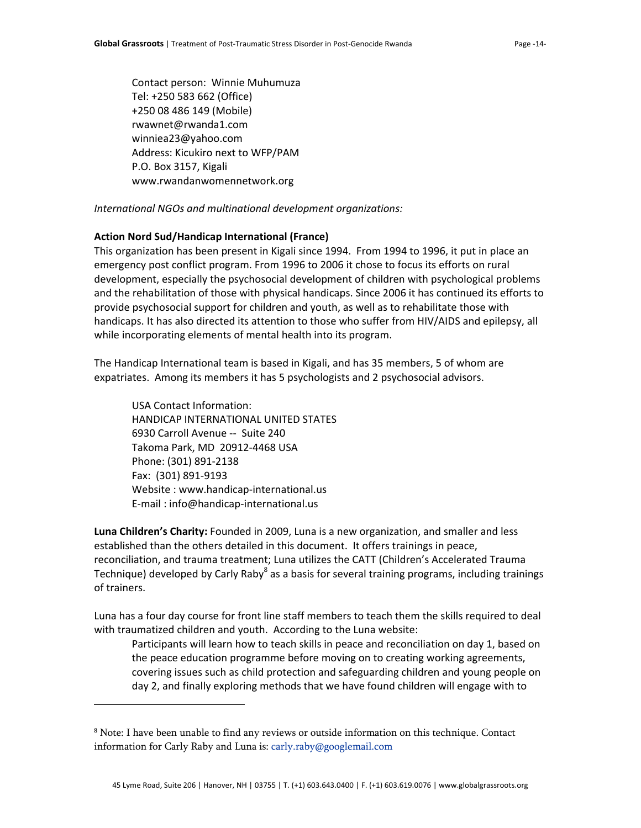Contact person: Winnie Muhumuza Tel: +250 583 662 (Office) +250 08 486 149 (Mobile) rwawnet@rwanda1.com winniea23@yahoo.com Address: Kicukiro next to WFP/PAM P.O. Box 3157, Kigali www.rwandanwomennetwork.org

*International NGOs and multinational development organizations:*

## **Action Nord Sud/Handicap International (France)**

This organization has been present in Kigali since 1994. From 1994 to 1996, it put in place an emergency post conflict program. From 1996 to 2006 it chose to focus its efforts on rural development, especially the psychosocial development of children with psychological problems and the rehabilitation of those with physical handicaps. Since 2006 it has continued its efforts to provide psychosocial support for children and youth, as well as to rehabilitate those with handicaps. It has also directed its attention to those who suffer from HIV/AIDS and epilepsy, all while incorporating elements of mental health into its program.

The Handicap International team is based in Kigali, and has 35 members, 5 of whom are expatriates. Among its members it has 5 psychologists and 2 psychosocial advisors.

USA Contact Information: HANDICAP INTERNATIONAL UNITED STATES 6930 Carroll Avenue ‐‐ Suite 240 Takoma Park, MD 20912‐4468 USA Phone: (301) 891‐2138 Fax: (301) 891‐9193 Website : www.handicap-international.us E‐mail : info@handicap‐international.us

 $\overline{a}$ 

**Luna Children's Charity:** Founded in 2009, Luna is a new organization, and smaller and less established than the others detailed in this document. It offers trainings in peace, reconciliation, and trauma treatment; Luna utilizes the CATT (Children's Accelerated Trauma Technique) developed by Carly Raby<sup>[8](#page-13-0)</sup> as a basis for several training programs, including trainings of trainers.

Luna has a four day course for front line staff members to teach them the skills required to deal with traumatized children and youth. According to the Luna website:

Participants will learn how to teach skills in peace and reconciliation on day 1, based on the peace education programme before moving on to creating working agreements, covering issues such as child protection and safeguarding children and young people on day 2, and finally exploring methods that we have found children will engage with to

<span id="page-13-0"></span><sup>8</sup> Note: I have been unable to find any reviews or outside information on this technique. Contact information for Carly Raby and Luna is: carly.raby@googlemail.com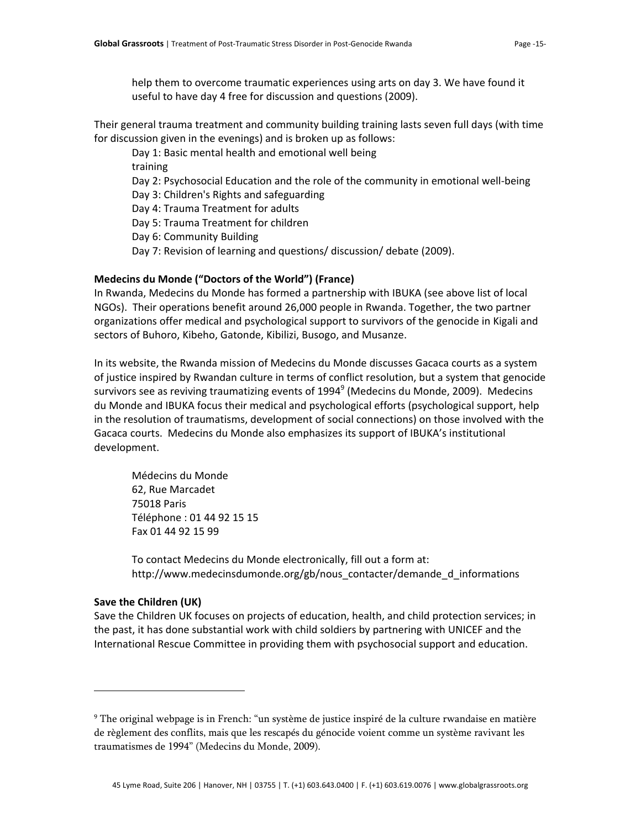help them to overcome traumatic experiences using arts on day 3. We have found it useful to have day 4 free for discussion and questions (2009).

Their general trauma treatment and community building training lasts seven full days (with time for discussion given in the evenings) and is broken up as follows:

Day 1: Basic mental health and emotional well being

training

Day 2: Psychosocial Education and the role of the community in emotional well-being

Day 3: Children's Rights and safeguarding

Day 4: Trauma Treatment for adults

Day 5: Trauma Treatment for children

Day 6: Community Building

Day 7: Revision of learning and questions/ discussion/ debate (2009).

# **Medecins du Monde ("Doctors of the World") (France)**

In Rwanda, Medecins du Monde has formed a partnership with IBUKA (see above list of local NGOs). Their operations benefit around 26,000 people in Rwanda. Together, the two partner organizations offer medical and psychological support to survivors of the genocide in Kigali and sectors of Buhoro, Kibeho, Gatonde, Kibilizi, Busogo, and Musanze.

In its website, the Rwanda mission of Medecins du Monde discusses Gacaca courts as a system of justice inspired by Rwandan culture in terms of conflict resolution, but a system that genocide survivors see as reviving traumatizing events of 1[9](#page-14-0)94 $^9$  (Medecins du Monde, 2009). Medecins du Monde and IBUKA focus their medical and psychological efforts (psychological support, help in the resolution of traumatisms, development of social connections) on those involved with the Gacaca courts. Medecins du Monde also emphasizes its support of IBUKA's institutional development.

Médecins du Monde 62, Rue Marcadet 75018 Paris Téléphone : 01 44 92 15 15 Fax 01 44 92 15 99

To contact Medecins du Monde electronically, fill out a form at: http://www.medecinsdumonde.org/gb/nous\_contacter/demande\_d\_informations

## **Save the Children (UK)**

 $\overline{a}$ 

Save the Children UK focuses on projects of education, health, and child protection services; in the past, it has done substantial work with child soldiers by partnering with UNICEF and the International Rescue Committee in providing them with psychosocial support and education.

<span id="page-14-0"></span><sup>9</sup> The original webpage is in French: "un système de justice inspiré de la culture rwandaise en matière de règlement des conflits, mais que les rescapés du génocide voient comme un système ravivant les traumatismes de 1994" (Medecins du Monde, 2009).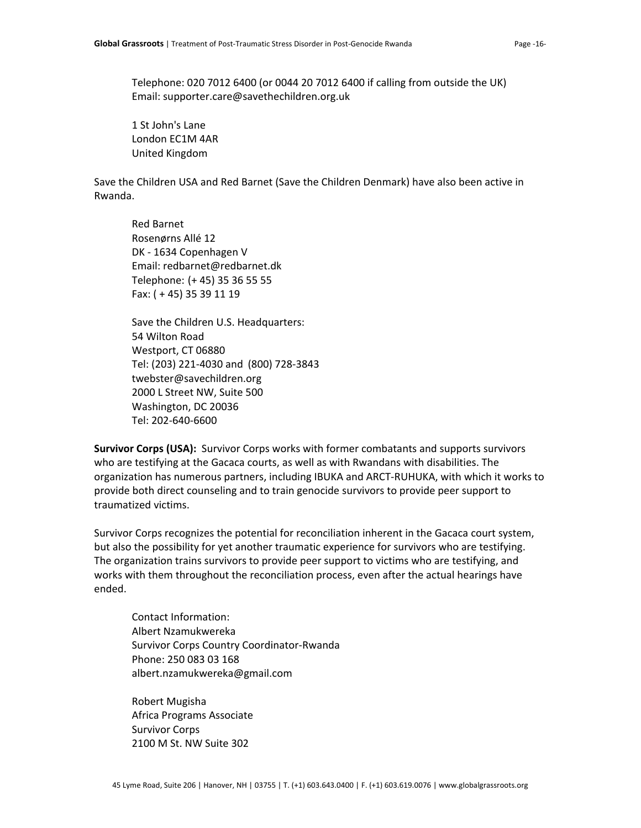Telephone: 020 7012 6400 (or 0044 20 7012 6400 if calling from outside the UK) Email: supporter.care@savethechildren.org.uk

1 St John's Lane London EC1M 4AR United Kingdom

Save the Children USA and Red Barnet (Save the Children Denmark) have also been active in Rwanda.

Red Barnet Rosenørns Allé 12 DK ‐ 1634 Copenhagen V Email: redbarnet@redbarnet.dk Telephone: (+ 45) 35 36 55 55 Fax: ( + 45) 35 39 11 19

Save the Children U.S. Headquarters: 54 Wilton Road Westport, CT 06880 Tel: (203) 221‐4030 and (800) 728‐3843 twebster@savechildren.org 2000 L Street NW, Suite 500 Washington, DC 20036 Tel: 202‐640‐6600

**Survivor Corps (USA):** Survivor Corps works with former combatants and supports survivors who are testifying at the Gacaca courts, as well as with Rwandans with disabilities. The organization has numerous partners, including IBUKA and ARCT‐RUHUKA, with which it works to provide both direct counseling and to train genocide survivors to provide peer support to traumatized victims.

Survivor Corps recognizes the potential for reconciliation inherent in the Gacaca court system, but also the possibility for yet another traumatic experience for survivors who are testifying. The organization trains survivors to provide peer support to victims who are testifying, and works with them throughout the reconciliation process, even after the actual hearings have ended.

Contact Information: Albert Nzamukwereka Survivor Corps Country Coordinator‐Rwanda Phone: 250 083 03 168 albert.nzamukwereka@gmail.com

Robert Mugisha Africa Programs Associate Survivor Corps 2100 M St. NW Suite 302